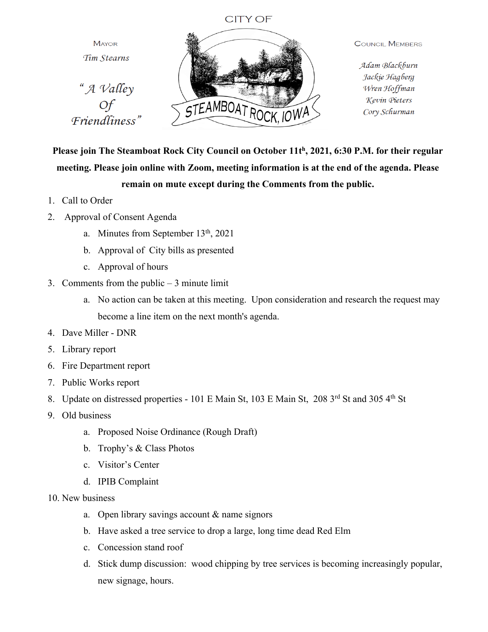## **CITY OF**

**MAYOR** Tim Stearns "A Valley

Friendliness"



**COUNCIL MEMBERS** 

Adam Blackburn Jackie Hagberg Wren Hoffman Kevin Pieters Cory Schurman

**Please join The Steamboat Rock City Council on October 11th, 2021, 6:30 P.M. for their regular meeting. Please join online with Zoom, meeting information is at the end of the agenda. Please remain on mute except during the Comments from the public.**

- 1. Call to Order
- 2. Approval of Consent Agenda
	- a. Minutes from September 13<sup>th</sup>, 2021
	- b. Approval of City bills as presented
	- c. Approval of hours
- 3. Comments from the public 3 minute limit
	- a. No action can be taken at this meeting. Upon consideration and research the request may become a line item on the next month's agenda.
- 4. Dave Miller DNR
- 5. Library report
- 6. Fire Department report
- 7. Public Works report
- 8. Update on distressed properties 101 E Main St, 103 E Main St, 208 3rd St and 305 4th St
- 9. Old business
	- a. Proposed Noise Ordinance (Rough Draft)
	- b. Trophy's & Class Photos
	- c. Visitor's Center
	- d. IPIB Complaint
- 10. New business
	- a. Open library savings account & name signors
	- b. Have asked a tree service to drop a large, long time dead Red Elm
	- c. Concession stand roof
	- d. Stick dump discussion: wood chipping by tree services is becoming increasingly popular, new signage, hours.